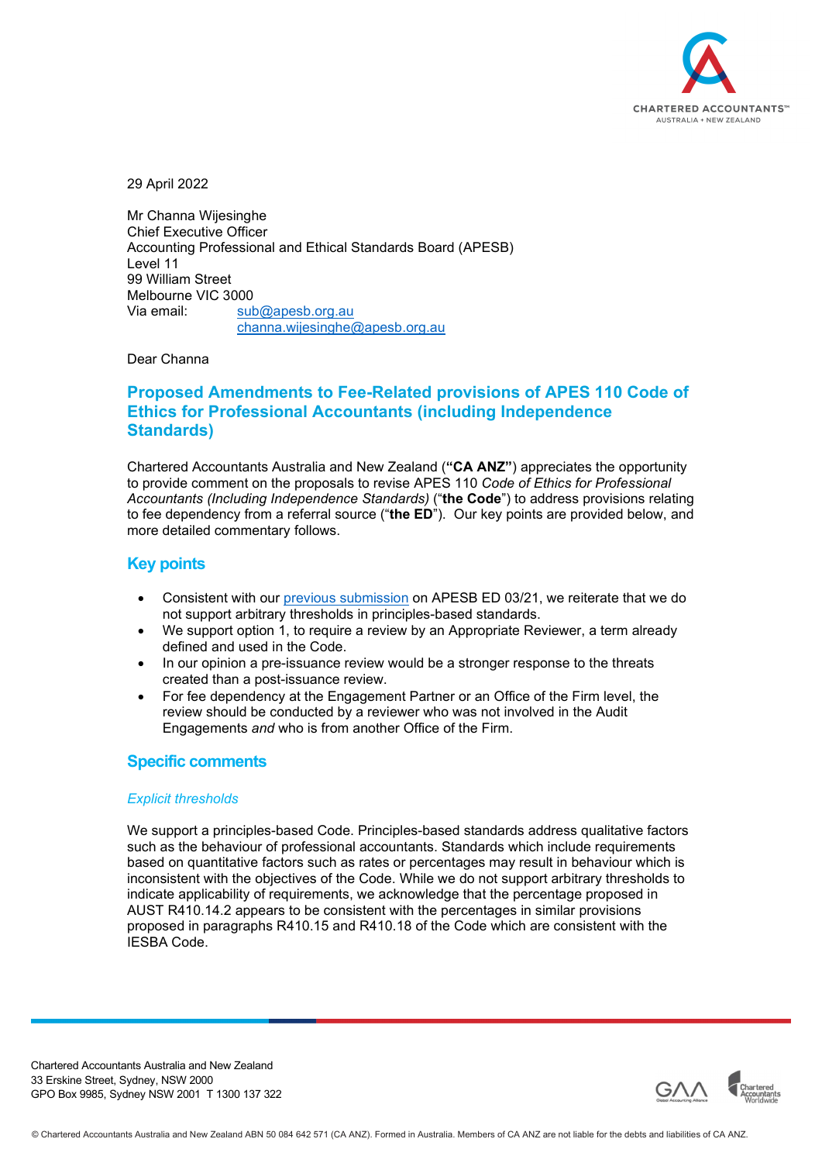

29 April 2022

Mr Channa Wijesinghe Chief Executive Officer Accounting Professional and Ethical Standards Board (APESB) Level 11 99 William Street Melbourne VIC 3000 Via email: sub@apesb.org.au channa.wijesinghe@apesb.org.au

Dear Channa

# **Proposed Amendments to Fee-Related provisions of APES 110 Code of Ethics for Professional Accountants (including Independence Standards)**

Chartered Accountants Australia and New Zealand (**"CA ANZ"**) appreciates the opportunity to provide comment on the proposals to revise APES 110 *Code of Ethics for Professional Accountants (Including Independence Standards)* ("**the Code**") to address provisions relating to fee dependency from a referral source ("**the ED**"). Our key points are provided below, and more detailed commentary follows.

## **Key points**

- Consistent with our previous submission on APESB ED 03/21, we reiterate that we do not support arbitrary thresholds in principles-based standards.
- We support option 1, to require a review by an Appropriate Reviewer, a term already defined and used in the Code.
- In our opinion a pre-issuance review would be a stronger response to the threats created than a post-issuance review.
- For fee dependency at the Engagement Partner or an Office of the Firm level, the review should be conducted by a reviewer who was not involved in the Audit Engagements *and* who is from another Office of the Firm.

## **Specific comments**

### *Explicit thresholds*

We support a principles-based Code. Principles-based standards address qualitative factors such as the behaviour of professional accountants. Standards which include requirements based on quantitative factors such as rates or percentages may result in behaviour which is inconsistent with the objectives of the Code. While we do not support arbitrary thresholds to indicate applicability of requirements, we acknowledge that the percentage proposed in AUST R410.14.2 appears to be consistent with the percentages in similar provisions proposed in paragraphs R410.15 and R410.18 of the Code which are consistent with the IESBA Code.

Chartered Accountants Australia and New Zealand 33 Erskine Street, Sydney, NSW 2000 GPO Box 9985, Sydney NSW 2001 T 1300 137 322

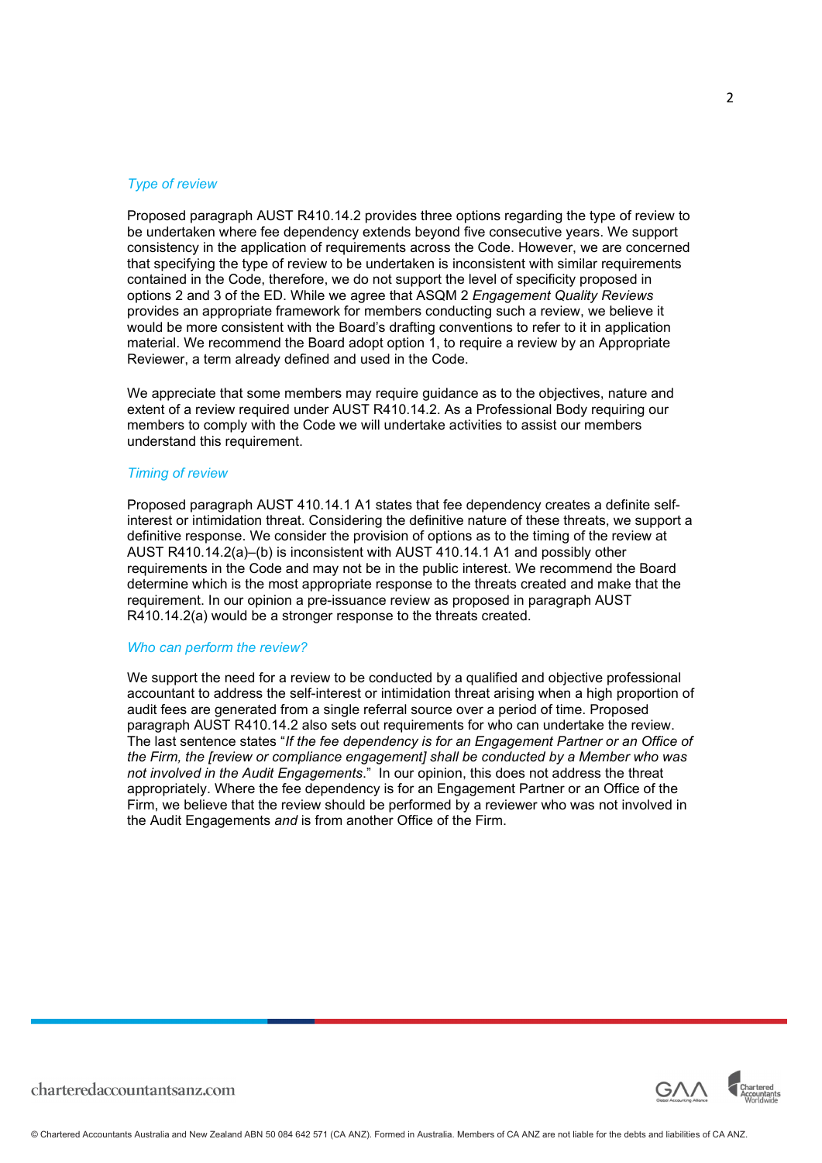#### *Type of review*

Proposed paragraph AUST R410.14.2 provides three options regarding the type of review to be undertaken where fee dependency extends beyond five consecutive years. We support consistency in the application of requirements across the Code. However, we are concerned that specifying the type of review to be undertaken is inconsistent with similar requirements contained in the Code, therefore, we do not support the level of specificity proposed in options 2 and 3 of the ED. While we agree that ASQM 2 *Engagement Quality Reviews* provides an appropriate framework for members conducting such a review, we believe it would be more consistent with the Board's drafting conventions to refer to it in application material. We recommend the Board adopt option 1, to require a review by an Appropriate Reviewer, a term already defined and used in the Code.

We appreciate that some members may require guidance as to the objectives, nature and extent of a review required under AUST R410.14.2. As a Professional Body requiring our members to comply with the Code we will undertake activities to assist our members understand this requirement.

#### *Timing of review*

Proposed paragraph AUST 410.14.1 A1 states that fee dependency creates a definite selfinterest or intimidation threat. Considering the definitive nature of these threats, we support a definitive response. We consider the provision of options as to the timing of the review at AUST R410.14.2(a)–(b) is inconsistent with AUST 410.14.1 A1 and possibly other requirements in the Code and may not be in the public interest. We recommend the Board determine which is the most appropriate response to the threats created and make that the requirement. In our opinion a pre-issuance review as proposed in paragraph AUST R410.14.2(a) would be a stronger response to the threats created.

#### *Who can perform the review?*

We support the need for a review to be conducted by a qualified and objective professional accountant to address the self-interest or intimidation threat arising when a high proportion of audit fees are generated from a single referral source over a period of time. Proposed paragraph AUST R410.14.2 also sets out requirements for who can undertake the review. The last sentence states "*If the fee dependency is for an Engagement Partner or an Office of the Firm, the [review or compliance engagement] shall be conducted by a Member who was not involved in the Audit Engagements*." In our opinion, this does not address the threat appropriately. Where the fee dependency is for an Engagement Partner or an Office of the Firm, we believe that the review should be performed by a reviewer who was not involved in the Audit Engagements *and* is from another Office of the Firm.



charteredaccountantsanz.com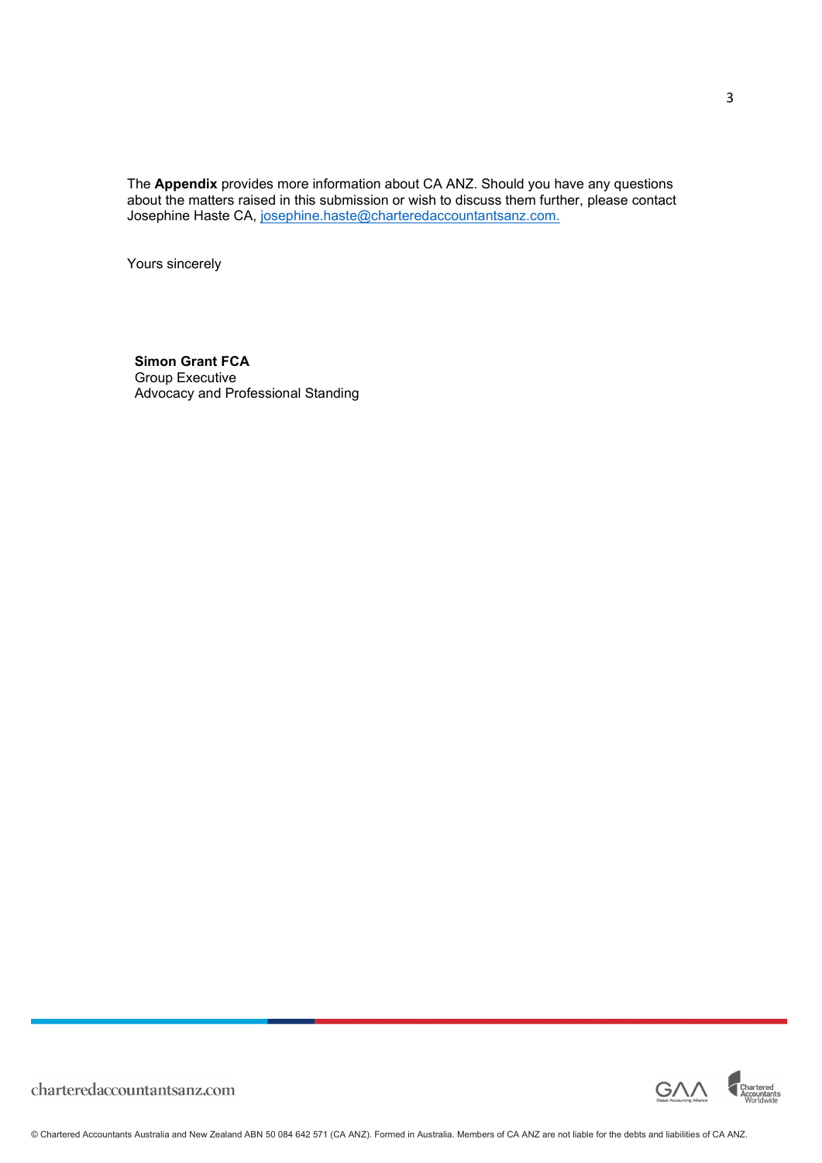The **Appendix** provides more information about CA ANZ. Should you have any questions about the matters raised in this submission or wish to discuss them further, please contact Josephine Haste CA, josephine.haste@charteredaccountantsanz.com.

Yours sincerely

**Simon Grant FCA**  Group Executive Advocacy and Professional Standing



3

charteredaccountantsanz.com